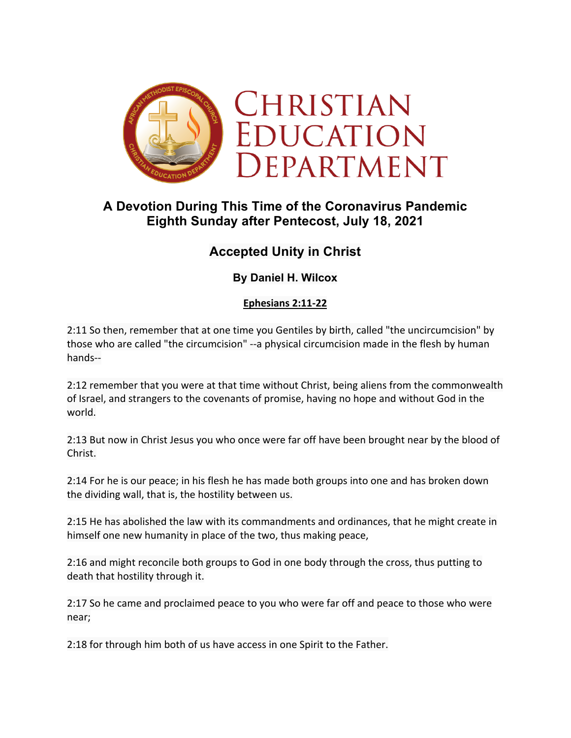

## **A Devotion During This Time of the Coronavirus Pandemic Eighth Sunday after Pentecost, July 18, 2021**

# **Accepted Unity in Christ**

## **By Daniel H. Wilcox**

### **Ephesians 2:11-22**

2:11 So then, remember that at one time you Gentiles by birth, called "the uncircumcision" by those who are called "the circumcision" --a physical circumcision made in the flesh by human hands--

2:12 remember that you were at that time without Christ, being aliens from the commonwealth of Israel, and strangers to the covenants of promise, having no hope and without God in the world.

2:13 But now in Christ Jesus you who once were far off have been brought near by the blood of Christ.

2:14 For he is our peace; in his flesh he has made both groups into one and has broken down the dividing wall, that is, the hostility between us.

2:15 He has abolished the law with its commandments and ordinances, that he might create in himself one new humanity in place of the two, thus making peace,

2:16 and might reconcile both groups to God in one body through the cross, thus putting to death that hostility through it.

2:17 So he came and proclaimed peace to you who were far off and peace to those who were near;

2:18 for through him both of us have access in one Spirit to the Father.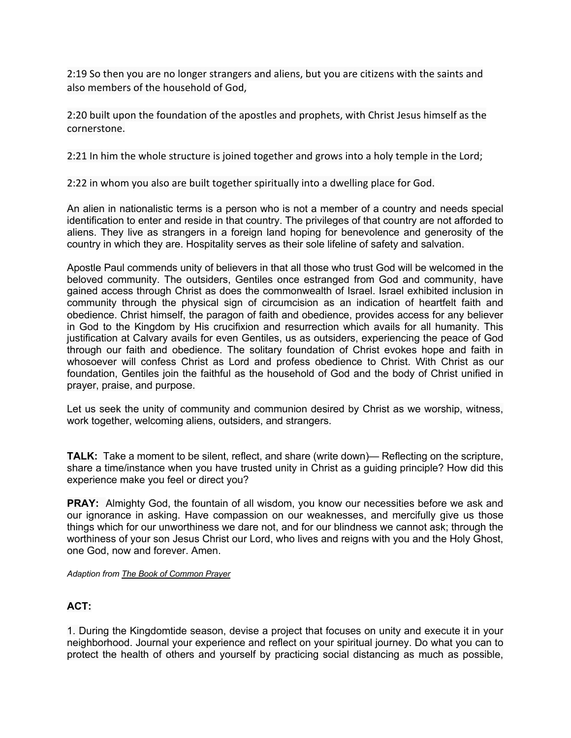2:19 So then you are no longer strangers and aliens, but you are citizens with the saints and also members of the household of God,

2:20 built upon the foundation of the apostles and prophets, with Christ Jesus himself as the cornerstone.

2:21 In him the whole structure is joined together and grows into a holy temple in the Lord;

2:22 in whom you also are built together spiritually into a dwelling place for God.

An alien in nationalistic terms is a person who is not a member of a country and needs special identification to enter and reside in that country. The privileges of that country are not afforded to aliens. They live as strangers in a foreign land hoping for benevolence and generosity of the country in which they are. Hospitality serves as their sole lifeline of safety and salvation.

Apostle Paul commends unity of believers in that all those who trust God will be welcomed in the beloved community. The outsiders, Gentiles once estranged from God and community, have gained access through Christ as does the commonwealth of Israel. Israel exhibited inclusion in community through the physical sign of circumcision as an indication of heartfelt faith and obedience. Christ himself, the paragon of faith and obedience, provides access for any believer in God to the Kingdom by His crucifixion and resurrection which avails for all humanity. This justification at Calvary avails for even Gentiles, us as outsiders, experiencing the peace of God through our faith and obedience. The solitary foundation of Christ evokes hope and faith in whosoever will confess Christ as Lord and profess obedience to Christ. With Christ as our foundation, Gentiles join the faithful as the household of God and the body of Christ unified in prayer, praise, and purpose.

Let us seek the unity of community and communion desired by Christ as we worship, witness, work together, welcoming aliens, outsiders, and strangers.

**TALK:** Take a moment to be silent, reflect, and share (write down)— Reflecting on the scripture, share a time/instance when you have trusted unity in Christ as a guiding principle? How did this experience make you feel or direct you?

**PRAY:** Almighty God, the fountain of all wisdom, you know our necessities before we ask and our ignorance in asking. Have compassion on our weaknesses, and mercifully give us those things which for our unworthiness we dare not, and for our blindness we cannot ask; through the worthiness of your son Jesus Christ our Lord, who lives and reigns with you and the Holy Ghost, one God, now and forever. Amen.

*Adaption from The Book of Common Prayer*

### **ACT:**

1. During the Kingdomtide season, devise a project that focuses on unity and execute it in your neighborhood. Journal your experience and reflect on your spiritual journey. Do what you can to protect the health of others and yourself by practicing social distancing as much as possible,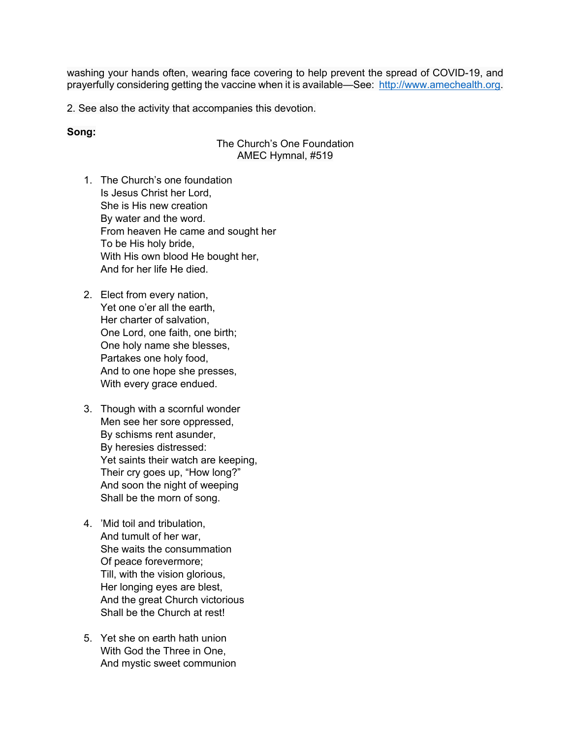washing your hands often, wearing face covering to help prevent the spread of COVID-19, and prayerfully considering getting the vaccine when it is available—See: http://www.amechealth.org.

2. See also the activity that accompanies this devotion.

#### **Song:**

#### The Church's One Foundation AMEC Hymnal, #519

- 1. The Church's one foundation Is Jesus Christ her Lord, She is His new creation By water and the word. From heaven He came and sought her To be His holy bride, With His own blood He bought her, And for her life He died.
- 2. Elect from every nation, Yet one o'er all the earth, Her charter of salvation, One Lord, one faith, one birth; One holy name she blesses, Partakes one holy food, And to one hope she presses, With every grace endued.
- 3. Though with a scornful wonder Men see her sore oppressed, By schisms rent asunder, By heresies distressed: Yet saints their watch are keeping, Their cry goes up, "How long?" And soon the night of weeping Shall be the morn of song.
- 4. 'Mid toil and tribulation, And tumult of her war, She waits the consummation Of peace forevermore; Till, with the vision glorious, Her longing eyes are blest, And the great Church victorious Shall be the Church at rest!
- 5. Yet she on earth hath union With God the Three in One, And mystic sweet communion